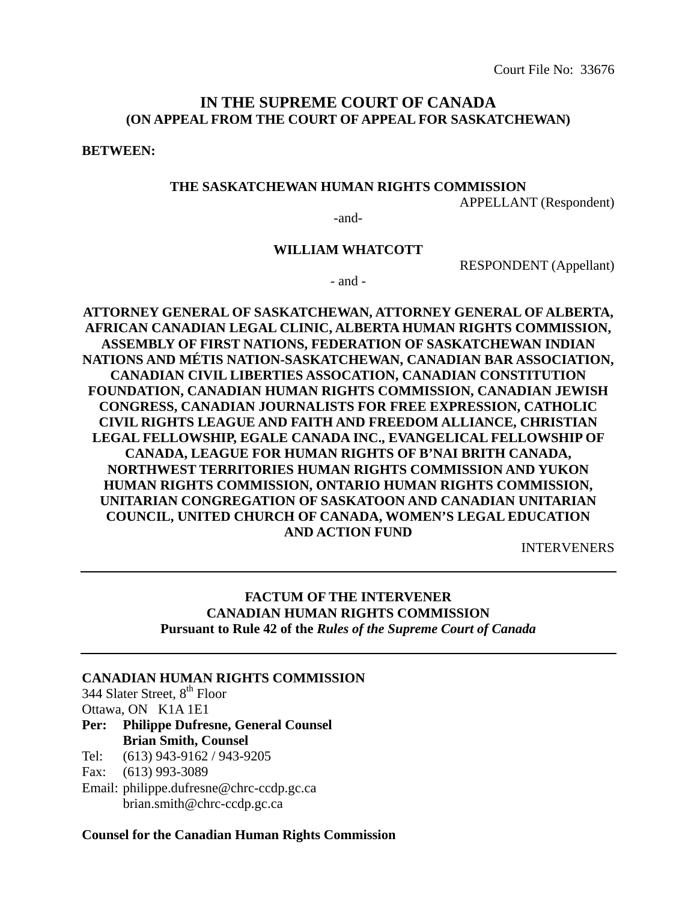Court File No: 33676

# **IN THE SUPREME COURT OF CANADA (ON APPEAL FROM THE COURT OF APPEAL FOR SASKATCHEWAN)**

**BETWEEN:** 

#### **THE SASKATCHEWAN HUMAN RIGHTS COMMISSION**

APPELLANT (Respondent)

-and-

#### **WILLIAM WHATCOTT**

RESPONDENT (Appellant)

- and -

**ATTORNEY GENERAL OF SASKATCHEWAN, ATTORNEY GENERAL OF ALBERTA, AFRICAN CANADIAN LEGAL CLINIC, ALBERTA HUMAN RIGHTS COMMISSION, ASSEMBLY OF FIRST NATIONS, FEDERATION OF SASKATCHEWAN INDIAN NATIONS AND MÉTIS NATION-SASKATCHEWAN, CANADIAN BAR ASSOCIATION, CANADIAN CIVIL LIBERTIES ASSOCATION, CANADIAN CONSTITUTION FOUNDATION, CANADIAN HUMAN RIGHTS COMMISSION, CANADIAN JEWISH CONGRESS, CANADIAN JOURNALISTS FOR FREE EXPRESSION, CATHOLIC CIVIL RIGHTS LEAGUE AND FAITH AND FREEDOM ALLIANCE, CHRISTIAN LEGAL FELLOWSHIP, EGALE CANADA INC., EVANGELICAL FELLOWSHIP OF CANADA, LEAGUE FOR HUMAN RIGHTS OF B'NAI BRITH CANADA, NORTHWEST TERRITORIES HUMAN RIGHTS COMMISSION AND YUKON HUMAN RIGHTS COMMISSION, ONTARIO HUMAN RIGHTS COMMISSION, UNITARIAN CONGREGATION OF SASKATOON AND CANADIAN UNITARIAN COUNCIL, UNITED CHURCH OF CANADA, WOMEN'S LEGAL EDUCATION AND ACTION FUND** 

INTERVENERS

# **FACTUM OF THE INTERVENER CANADIAN HUMAN RIGHTS COMMISSION Pursuant to Rule 42 of the** *Rules of the Supreme Court of Canada*

#### **CANADIAN HUMAN RIGHTS COMMISSION**

344 Slater Street, 8<sup>th</sup> Floor

Ottawa, ON K1A 1E1

# **Per: Philippe Dufresne, General Counsel Brian Smith, Counsel**

Tel: (613) 943-9162 / 943-9205

Fax: (613) 993-3089

Email: philippe.dufresne@chrc-ccdp.gc.ca brian.smith@chrc-ccdp.gc.ca

#### **Counsel for the Canadian Human Rights Commission**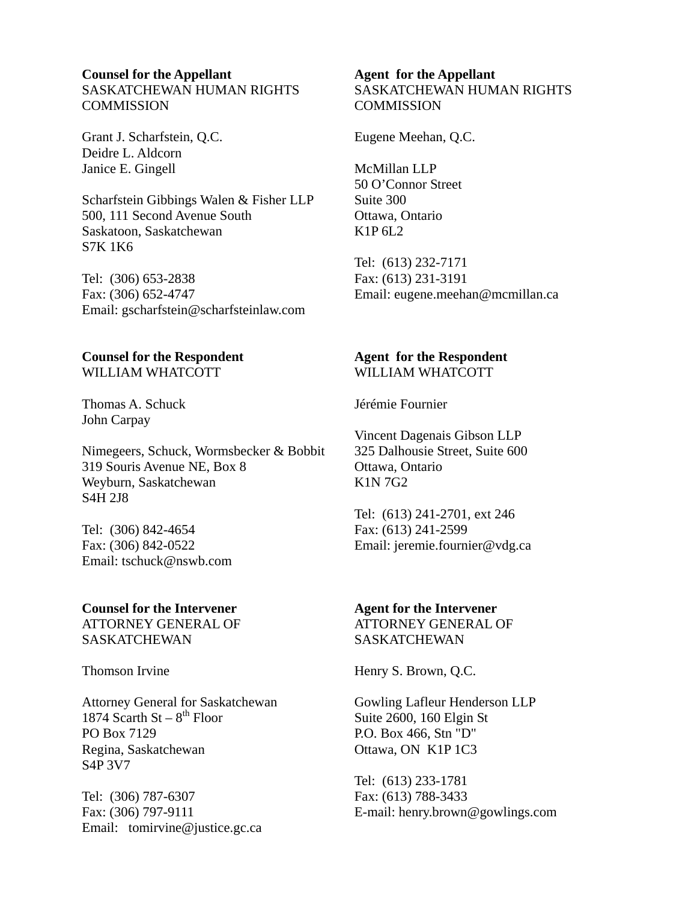## **Counsel for the Appellant**  SASKATCHEWAN HUMAN RIGHTS **COMMISSION**

Grant J. Scharfstein, Q.C. Deidre L. Aldcorn Janice E. Gingell

Scharfstein Gibbings Walen & Fisher LLP 500, 111 Second Avenue South Saskatoon, Saskatchewan S7K 1K6

Tel: (306) 653-2838 Fax: (306) 652-4747 Email: gscharfstein@scharfsteinlaw.com

#### **Counsel for the Respondent**  WILLIAM WHATCOTT

Thomas A. Schuck John Carpay

Nimegeers, Schuck, Wormsbecker & Bobbit 319 Souris Avenue NE, Box 8 Weyburn, Saskatchewan S4H 2J8

Tel: (306) 842-4654 Fax: (306) 842-0522 Email: tschuck@nswb.com

#### **Counsel for the Intervener**  ATTORNEY GENERAL OF

SASKATCHEWAN

Thomson Irvine

Attorney General for Saskatchewan 1874 Scarth St –  $8^{th}$  Floor PO Box 7129 Regina, Saskatchewan S4P 3V7

Tel: (306) 787-6307 Fax: (306) 797-9111 Email: tomirvine@justice.gc.ca

## **Agent for the Appellant**  SASKATCHEWAN HUMAN RIGHTS **COMMISSION**

Eugene Meehan, Q.C.

McMillan LLP 50 O'Connor Street Suite 300 Ottawa, Ontario K1P 6L2

Tel: (613) 232-7171 Fax: (613) 231-3191 Email: eugene.meehan@mcmillan.ca

#### **Agent for the Respondent**  WILLIAM WHATCOTT

Jérémie Fournier

Vincent Dagenais Gibson LLP 325 Dalhousie Street, Suite 600 Ottawa, Ontario K1N 7G2

Tel: (613) 241-2701, ext 246 Fax: (613) 241-2599 Email: jeremie.fournier@vdg.ca

## **Agent for the Intervener**

ATTORNEY GENERAL OF SASKATCHEWAN

Henry S. Brown, Q.C.

Gowling Lafleur Henderson LLP Suite 2600, 160 Elgin St P.O. Box 466, Stn "D" Ottawa, ON K1P 1C3

Tel: (613) 233-1781 Fax: (613) 788-3433 E-mail: henry.brown@gowlings.com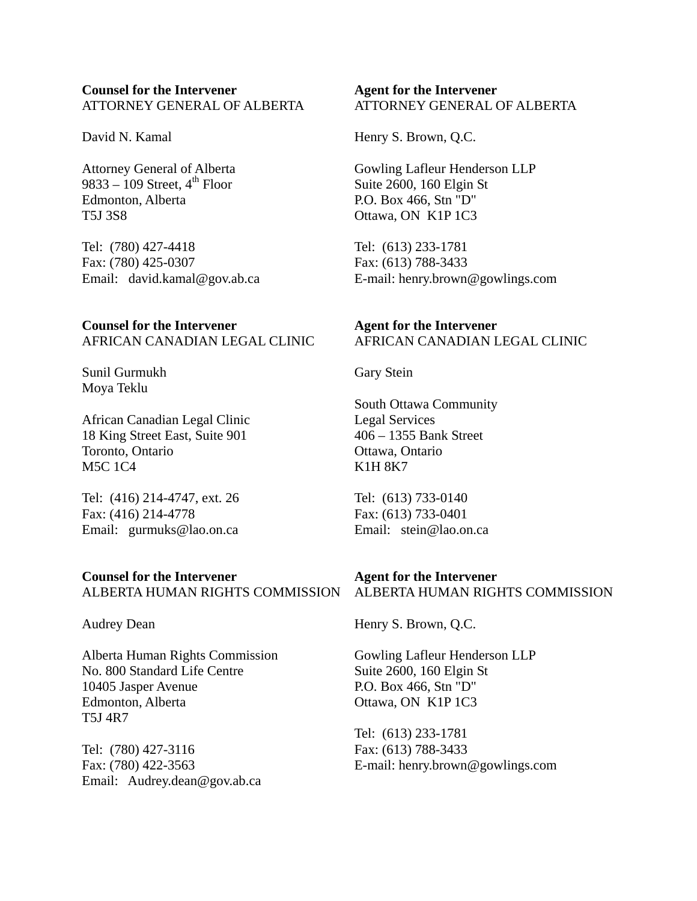## **Counsel for the Intervener**  ATTORNEY GENERAL OF ALBERTA

David N. Kamal

Attorney General of Alberta 9833 – 109 Street,  $4<sup>th</sup>$  Floor Edmonton, Alberta T5J 3S8

Tel: (780) 427-4418 Fax: (780) 425-0307 Email: david.kamal@gov.ab.ca

**Counsel for the Intervener**  AFRICAN CANADIAN LEGAL CLINIC

Sunil Gurmukh Moya Teklu

African Canadian Legal Clinic 18 King Street East, Suite 901 Toronto, Ontario M5C 1C4

Tel: (416) 214-4747, ext. 26 Fax: (416) 214-4778 Email: gurmuks@lao.on.ca

#### **Counsel for the Intervener**

ALBERTA HUMAN RIGHTS COMMISSION

Audrey Dean

Alberta Human Rights Commission No. 800 Standard Life Centre 10405 Jasper Avenue Edmonton, Alberta T5J 4R7

Tel: (780) 427-3116 Fax: (780) 422-3563 Email: Audrey.dean@gov.ab.ca

## **Agent for the Intervener**  ATTORNEY GENERAL OF ALBERTA

Henry S. Brown, Q.C.

Gowling Lafleur Henderson LLP Suite 2600, 160 Elgin St P.O. Box 466, Stn "D" Ottawa, ON K1P 1C3

Tel: (613) 233-1781 Fax: (613) 788-3433 E-mail: henry.brown@gowlings.com

# **Agent for the Intervener**  AFRICAN CANADIAN LEGAL CLINIC

Gary Stein

South Ottawa Community Legal Services 406 – 1355 Bank Street Ottawa, Ontario K1H 8K7

Tel: (613) 733-0140 Fax: (613) 733-0401 Email: stein@lao.on.ca

## **Agent for the Intervener**

ALBERTA HUMAN RIGHTS COMMISSION

Henry S. Brown, Q.C.

Gowling Lafleur Henderson LLP Suite 2600, 160 Elgin St P.O. Box 466, Stn "D" Ottawa, ON K1P 1C3

Tel: (613) 233-1781 Fax: (613) 788-3433 E-mail: henry.brown@gowlings.com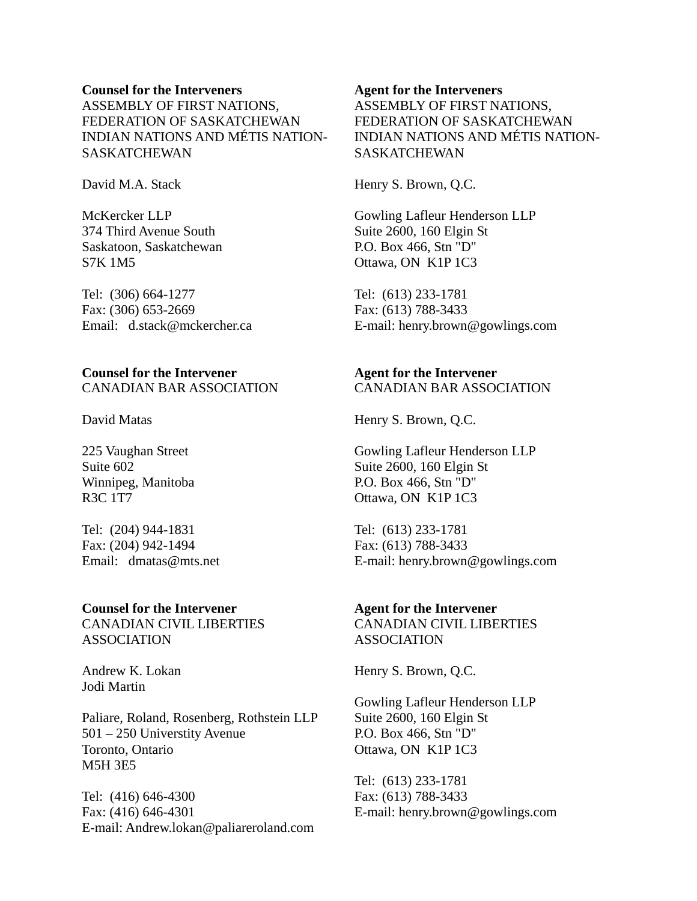## **Counsel for the Interveners**  ASSEMBLY OF FIRST NATIONS, FEDERATION OF SASKATCHEWAN INDIAN NATIONS AND MÉTIS NATION-SASKATCHEWAN

David M.A. Stack

McKercker LLP 374 Third Avenue South Saskatoon, Saskatchewan S7K 1M5

Tel: (306) 664-1277 Fax: (306) 653-2669 Email: d.stack@mckercher.ca

## **Counsel for the Intervener**  CANADIAN BAR ASSOCIATION

David Matas

225 Vaughan Street Suite 602 Winnipeg, Manitoba R3C 1T7

Tel: (204) 944-1831 Fax: (204) 942-1494 Email: dmatas@mts.net

#### **Counsel for the Intervener**

CANADIAN CIVIL LIBERTIES ASSOCIATION

Andrew K. Lokan Jodi Martin

Paliare, Roland, Rosenberg, Rothstein LLP 501 – 250 Universtity Avenue Toronto, Ontario M5H 3E5

Tel: (416) 646-4300 Fax: (416) 646-4301 E-mail: Andrew.lokan@paliareroland.com

#### **Agent for the Interveners**

ASSEMBLY OF FIRST NATIONS, FEDERATION OF SASKATCHEWAN INDIAN NATIONS AND MÉTIS NATION-**SASKATCHEWAN** 

Henry S. Brown, Q.C.

Gowling Lafleur Henderson LLP Suite 2600, 160 Elgin St P.O. Box 466, Stn "D" Ottawa, ON K1P 1C3

Tel: (613) 233-1781 Fax: (613) 788-3433 E-mail: henry.brown@gowlings.com

#### **Agent for the Intervener**  CANADIAN BAR ASSOCIATION

Henry S. Brown, Q.C.

Gowling Lafleur Henderson LLP Suite 2600, 160 Elgin St P.O. Box 466, Stn "D" Ottawa, ON K1P 1C3

Tel: (613) 233-1781 Fax: (613) 788-3433 E-mail: henry.brown@gowlings.com

## **Agent for the Intervener**

CANADIAN CIVIL LIBERTIES ASSOCIATION

Henry S. Brown, Q.C.

Gowling Lafleur Henderson LLP Suite 2600, 160 Elgin St P.O. Box 466, Stn "D" Ottawa, ON K1P 1C3

Tel: (613) 233-1781 Fax: (613) 788-3433 E-mail: henry.brown@gowlings.com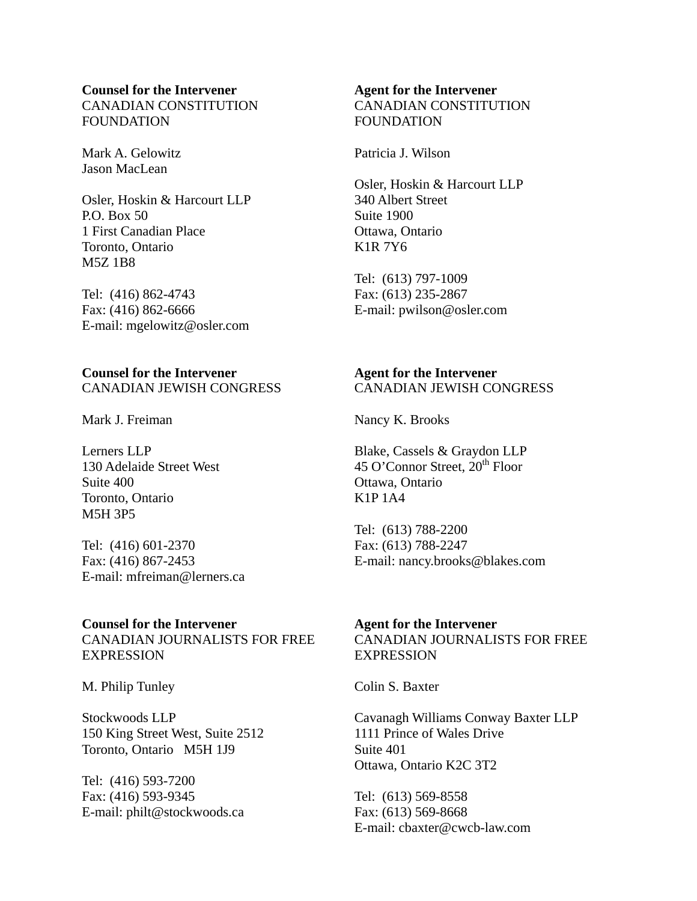#### **Counsel for the Intervener**  CANADIAN CONSTITUTION FOUNDATION

Mark A. Gelowitz Jason MacLean

Osler, Hoskin & Harcourt LLP P.O. Box 50 1 First Canadian Place Toronto, Ontario M5Z 1B8

Tel: (416) 862-4743 Fax: (416) 862-6666 E-mail: mgelowitz@osler.com

## **Counsel for the Intervener**  CANADIAN JEWISH CONGRESS

Mark J. Freiman

Lerners LLP 130 Adelaide Street West Suite 400 Toronto, Ontario M5H 3P5

Tel: (416) 601-2370 Fax: (416) 867-2453 E-mail: mfreiman@lerners.ca

#### **Counsel for the Intervener**

CANADIAN JOURNALISTS FOR FREE EXPRESSION

M. Philip Tunley

Stockwoods LLP 150 King Street West, Suite 2512 Toronto, Ontario M5H 1J9

Tel: (416) 593-7200 Fax: (416) 593-9345 E-mail: philt@stockwoods.ca

# **Agent for the Intervener**  CANADIAN CONSTITUTION **FOUNDATION**

Patricia J. Wilson

Osler, Hoskin & Harcourt LLP 340 Albert Street Suite 1900 Ottawa, Ontario K1R 7Y6

Tel: (613) 797-1009 Fax: (613) 235-2867 E-mail: pwilson@osler.com

# **Agent for the Intervener**  CANADIAN JEWISH CONGRESS

Nancy K. Brooks

Blake, Cassels & Graydon LLP 45 O'Connor Street,  $20^{th}$  Floor Ottawa, Ontario K1P 1A4

Tel: (613) 788-2200 Fax: (613) 788-2247 E-mail: nancy.brooks@blakes.com

# **Agent for the Intervener**

CANADIAN JOURNALISTS FOR FREE **EXPRESSION** 

Colin S. Baxter

Cavanagh Williams Conway Baxter LLP 1111 Prince of Wales Drive Suite 401 Ottawa, Ontario K2C 3T2

Tel: (613) 569-8558 Fax: (613) 569-8668 E-mail: cbaxter@cwcb-law.com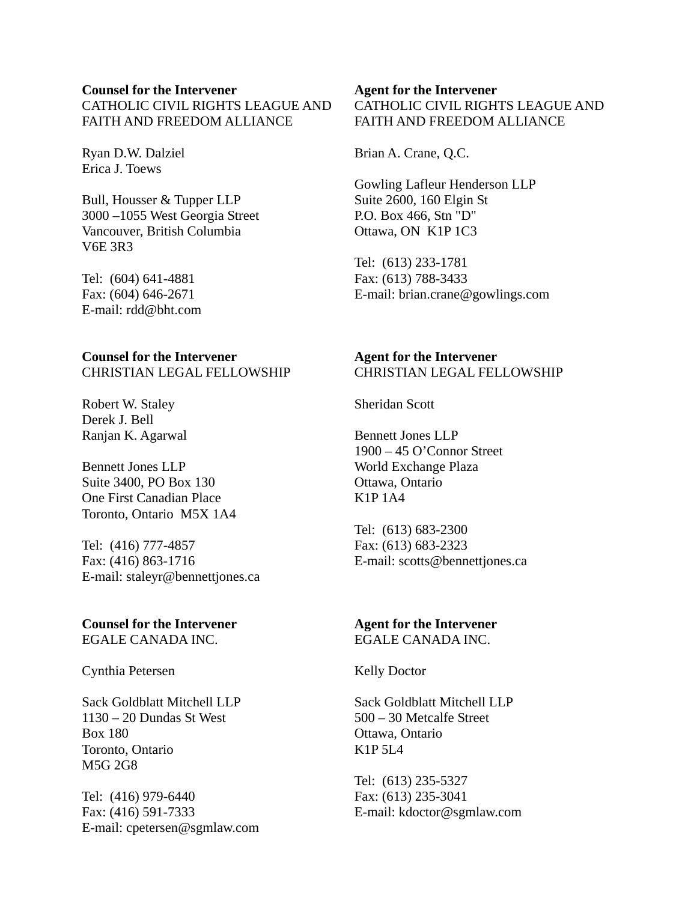#### **Counsel for the Intervener**

CATHOLIC CIVIL RIGHTS LEAGUE AND FAITH AND FREEDOM ALLIANCE

Ryan D.W. Dalziel Erica J. Toews

Bull, Housser & Tupper LLP 3000 –1055 West Georgia Street Vancouver, British Columbia V6E 3R3

Tel: (604) 641-4881 Fax: (604) 646-2671 E-mail: rdd@bht.com

#### **Counsel for the Intervener**  CHRISTIAN LEGAL FELLOWSHIP

Robert W. Staley Derek J. Bell Ranjan K. Agarwal

Bennett Jones LLP Suite 3400, PO Box 130 One First Canadian Place Toronto, Ontario M5X 1A4

Tel: (416) 777-4857 Fax: (416) 863-1716 E-mail: staleyr@bennettjones.ca

## **Counsel for the Intervener**  EGALE CANADA INC.

Cynthia Petersen

Sack Goldblatt Mitchell LLP 1130 – 20 Dundas St West Box 180 Toronto, Ontario M5G 2G8

Tel: (416) 979-6440 Fax: (416) 591-7333 E-mail: cpetersen@sgmlaw.com

## **Agent for the Intervener**  CATHOLIC CIVIL RIGHTS LEAGUE AND FAITH AND FREEDOM ALLIANCE

Brian A. Crane, Q.C.

Gowling Lafleur Henderson LLP Suite 2600, 160 Elgin St P.O. Box 466, Stn "D" Ottawa, ON K1P 1C3

Tel: (613) 233-1781 Fax: (613) 788-3433 E-mail: brian.crane@gowlings.com

## **Agent for the Intervener**  CHRISTIAN LEGAL FELLOWSHIP

Sheridan Scott

Bennett Jones LLP 1900 – 45 O'Connor Street World Exchange Plaza Ottawa, Ontario K1P 1A4

Tel: (613) 683-2300 Fax: (613) 683-2323 E-mail: scotts@bennettjones.ca

#### **Agent for the Intervener**  EGALE CANADA INC.

Kelly Doctor

Sack Goldblatt Mitchell LLP 500 – 30 Metcalfe Street Ottawa, Ontario K1P 5L4

Tel: (613) 235-5327 Fax: (613) 235-3041 E-mail: kdoctor@sgmlaw.com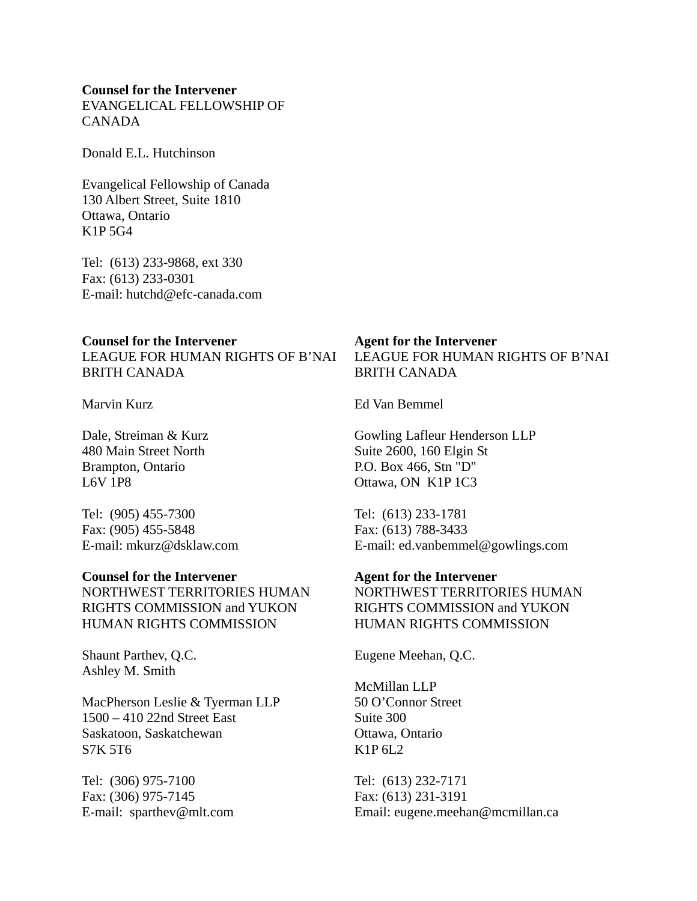#### **Counsel for the Intervener**

EVANGELICAL FELLOWSHIP OF CANADA

Donald E.L. Hutchinson

Evangelical Fellowship of Canada 130 Albert Street, Suite 1810 Ottawa, Ontario K1P 5G4

Tel: (613) 233-9868, ext 330 Fax: (613) 233-0301 E-mail: hutchd@efc-canada.com

#### **Counsel for the Intervener**

LEAGUE FOR HUMAN RIGHTS OF B'NAI BRITH CANADA

Marvin Kurz

Dale, Streiman & Kurz 480 Main Street North Brampton, Ontario L6V 1P8

Tel: (905) 455-7300 Fax: (905) 455-5848 E-mail: mkurz@dsklaw.com

## **Counsel for the Intervener**

NORTHWEST TERRITORIES HUMAN RIGHTS COMMISSION and YUKON HUMAN RIGHTS COMMISSION

Shaunt Parthev, Q.C. Ashley M. Smith

MacPherson Leslie & Tyerman LLP 1500 – 410 22nd Street East Saskatoon, Saskatchewan S7K 5T6

Tel: (306) 975-7100 Fax: (306) 975-7145 E-mail: sparthev@mlt.com

# **Agent for the Intervener**  LEAGUE FOR HUMAN RIGHTS OF B'NAI BRITH CANADA

Ed Van Bemmel

Gowling Lafleur Henderson LLP Suite 2600, 160 Elgin St P.O. Box 466, Stn "D" Ottawa, ON K1P 1C3

Tel: (613) 233-1781 Fax: (613) 788-3433 E-mail: ed.vanbemmel@gowlings.com

## **Agent for the Intervener**

NORTHWEST TERRITORIES HUMAN RIGHTS COMMISSION and YUKON HUMAN RIGHTS COMMISSION

Eugene Meehan, Q.C.

McMillan LLP 50 O'Connor Street Suite 300 Ottawa, Ontario K1P 6L2

Tel: (613) 232-7171 Fax: (613) 231-3191 Email: eugene.meehan@mcmillan.ca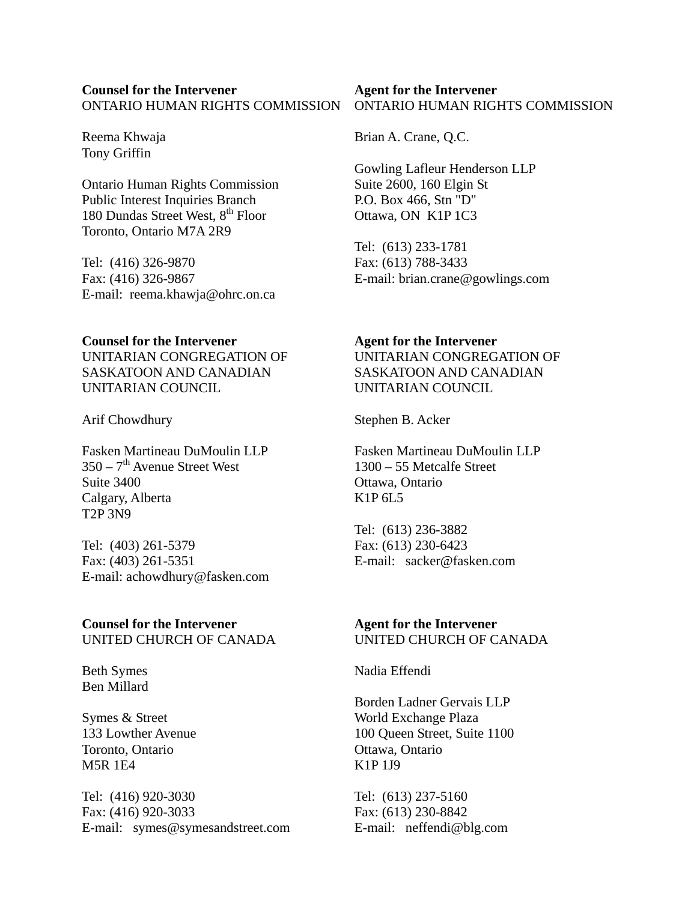## **Counsel for the Intervener**  ONTARIO HUMAN RIGHTS COMMISSION

Reema Khwaja Tony Griffin

Ontario Human Rights Commission Public Interest Inquiries Branch 180 Dundas Street West,  $8<sup>th</sup>$  Floor Toronto, Ontario M7A 2R9

Tel: (416) 326-9870 Fax: (416) 326-9867 E-mail: reema.khawja@ohrc.on.ca

## **Counsel for the Intervener**

UNITARIAN CONGREGATION OF SASKATOON AND CANADIAN UNITARIAN COUNCIL

Arif Chowdhury

Fasken Martineau DuMoulin LLP  $350 - 7$ <sup>th</sup> Avenue Street West Suite 3400 Calgary, Alberta T2P 3N9

Tel: (403) 261-5379 Fax: (403) 261-5351 E-mail: achowdhury@fasken.com

## **Counsel for the Intervener**  UNITED CHURCH OF CANADA

Beth Symes Ben Millard

Symes & Street 133 Lowther Avenue Toronto, Ontario M5R 1E4

Tel: (416) 920-3030 Fax: (416) 920-3033 E-mail: symes@symesandstreet.com

#### **Agent for the Intervener**  ONTARIO HUMAN RIGHTS COMMISSION

Brian A. Crane, Q.C.

Gowling Lafleur Henderson LLP Suite 2600, 160 Elgin St P.O. Box 466, Stn "D" Ottawa, ON K1P 1C3

Tel: (613) 233-1781 Fax: (613) 788-3433 E-mail: brian.crane@gowlings.com

## **Agent for the Intervener**

UNITARIAN CONGREGATION OF SASKATOON AND CANADIAN UNITARIAN COUNCIL

Stephen B. Acker

Fasken Martineau DuMoulin LLP 1300 – 55 Metcalfe Street Ottawa, Ontario K1P 6L5

Tel: (613) 236-3882 Fax: (613) 230-6423 E-mail: sacker@fasken.com

## **Agent for the Intervener**  UNITED CHURCH OF CANADA

Nadia Effendi

Borden Ladner Gervais LLP World Exchange Plaza 100 Queen Street, Suite 1100 Ottawa, Ontario K1P 1J9

Tel: (613) 237-5160 Fax: (613) 230-8842 E-mail: neffendi@blg.com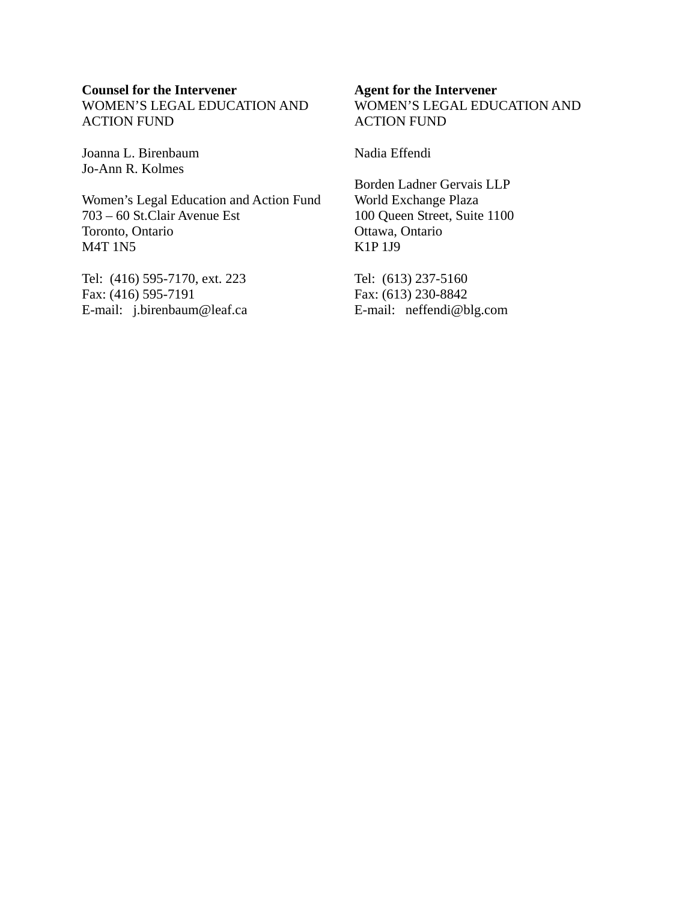## **Counsel for the Intervener**

WOMEN'S LEGAL EDUCATION AND ACTION FUND

Joanna L. Birenbaum Jo-Ann R. Kolmes

Women's Legal Education and Action Fund 703 – 60 St.Clair Avenue Est Toronto, Ontario M4T 1N5

Tel: (416) 595-7170, ext. 223 Fax: (416) 595-7191 E-mail: j.birenbaum@leaf.ca

#### **Agent for the Intervener**

WOMEN'S LEGAL EDUCATION AND ACTION FUND

Nadia Effendi

Borden Ladner Gervais LLP World Exchange Plaza 100 Queen Street, Suite 1100 Ottawa, Ontario K1P 1J9

Tel: (613) 237-5160 Fax: (613) 230-8842 E-mail: neffendi@blg.com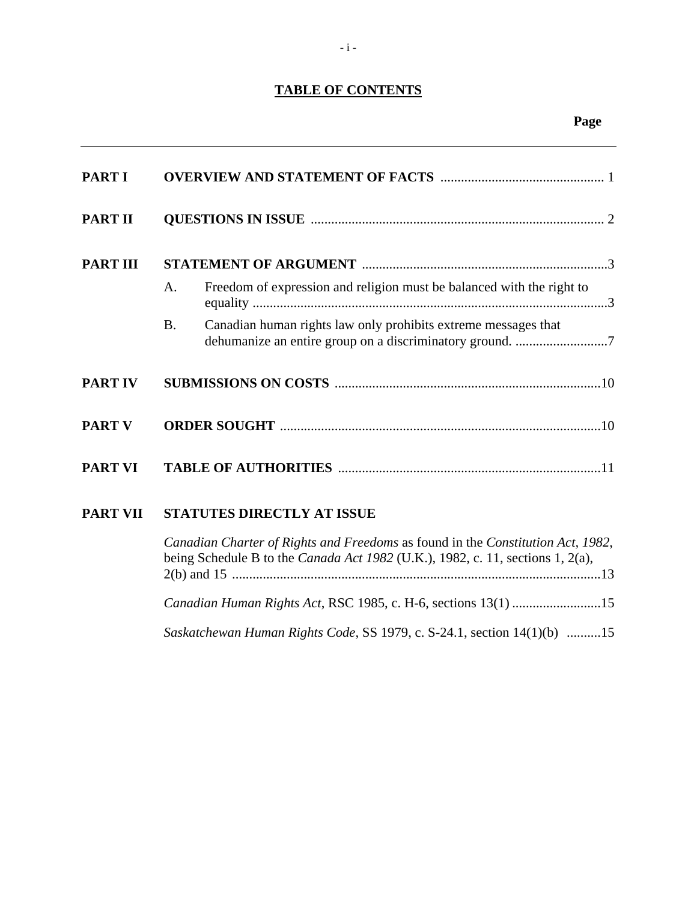# **TABLE OF CONTENTS**

| <b>PART I</b>   |                                                                                                                                                                   |
|-----------------|-------------------------------------------------------------------------------------------------------------------------------------------------------------------|
| <b>PART II</b>  |                                                                                                                                                                   |
| <b>PART III</b> |                                                                                                                                                                   |
|                 | Freedom of expression and religion must be balanced with the right to<br>A.                                                                                       |
|                 | Canadian human rights law only prohibits extreme messages that<br><b>B.</b><br>dehumanize an entire group on a discriminatory ground. 7                           |
| <b>PART IV</b>  |                                                                                                                                                                   |
| <b>PART V</b>   |                                                                                                                                                                   |
| <b>PART VI</b>  |                                                                                                                                                                   |
| <b>PART VII</b> | <b>STATUTES DIRECTLY AT ISSUE</b>                                                                                                                                 |
|                 | Canadian Charter of Rights and Freedoms as found in the Constitution Act, 1982,<br>being Schedule B to the Canada Act 1982 (U.K.), 1982, c. 11, sections 1, 2(a), |
|                 | Canadian Human Rights Act, RSC 1985, c. H-6, sections 13(1) 15                                                                                                    |

*Saskatchewan Human Rights Code*, SS 1979, c. S-24.1, section 14(1)(b) ..........15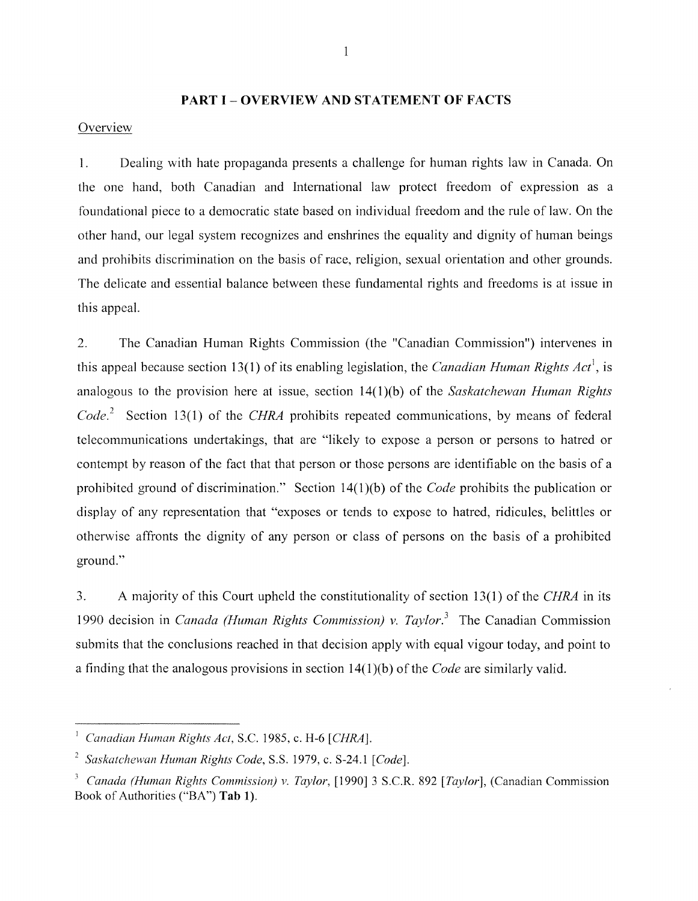#### **PART I - OVERVIEW AND STATEMENT OF FACTS**

## **Overview**

1. Dealing with hate propaganda presents a challenge for human rights law in Canada. On the one hand, both Canadian and International law protect freedom of expression as a foundational piece to a democratic state based on individual freedom and the rule of law. On the other hand, our legal system recognizes and enshrines the equality and dignity of human beings and prohibits discrimination on the basis of race, religion, sexual orientation and other grounds. The delicate and essential balance between these fundamental rights and freedoms is at issue in this appeal.

2. The Canadian Human Rights Commission (the "Canadian Commission") intervenes in this appeal because section 13(1) of its enabling legislation, the *Canadian Human Rights Act\* is analogous to the provision here at issue, section 14(1)(b) of the *Saskatchewan Human Rights Code.* 2 Section 13(1) of the *CHRA* prohibits repeated communications, by means of federal telecommunications undertakings, that are "likely to expose a person or persons to hatred or contempt by reason of the fact that that person or those persons are identifiable on the basis of a prohibited ground of discrimination." Section 14(1)(b) of the *Code* prohibits the publication or display of any representation that "exposes or tends to expose to hatred, ridicules, belittles or otherwise affronts the dignity of any person or class of persons on the basis of a prohibited ground."

3. A majority of this Court upheld the constitutionality of section 13(1) of the *CHRA* in its 1990 decision in *Canada (Human Rights Commission)* v. *Taylor. <sup>3</sup>*The Canadian Commission submits that the conclusions reached in that decision apply with equal vigour today, and point to a finding that the analogous provisions in section 14( 1 )(b) of the *Code* are similarly valid.

<sup>I</sup>*Canadian Human Rights Act,* S.c. 1985, c. H-6 *[CHRA].* 

*<sup>2</sup> Saskatchewan Human Rights Code,* S.S. 1979, c. S-24.1 *[Code].* 

*<sup>3</sup> Canada (Human Rights Commission) v. Taylor,* [1990] 3 S.c.R. 892 *[Taylor],* (Canadian Commission Book of Authorities ("BA") **Tab 1).**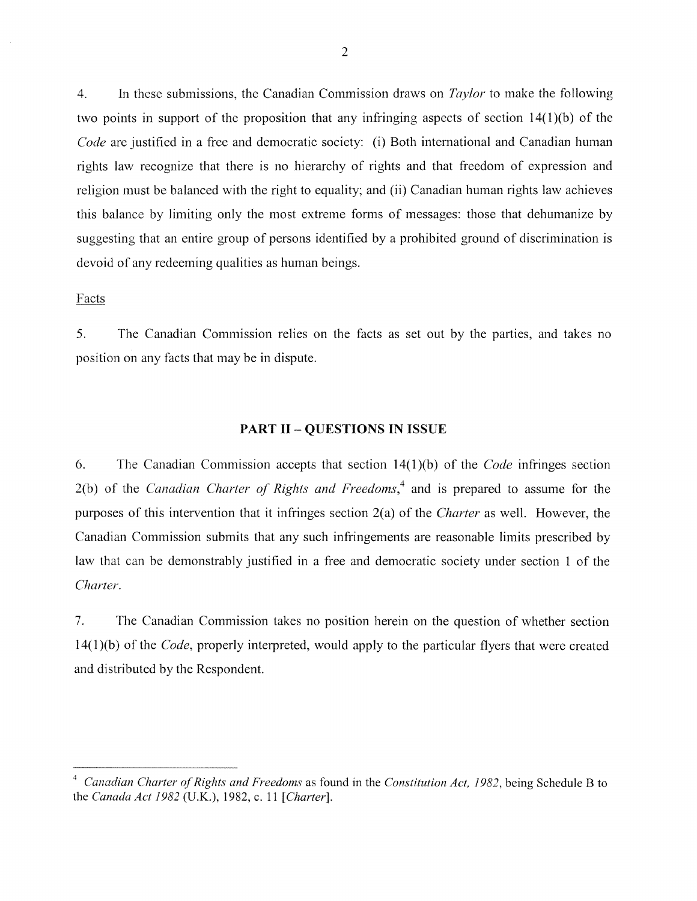4. In these submissions, the Canadian Commission draws on *Taylor* to make the following two points in support of the proposition that any infringing aspects of section  $14(1)(b)$  of the *Code* are justified in a free and democratic society: (i) Both international and Canadian human rights law recognize that there is no hierarchy of rights and that freedom of expression and religion must be balanced with the right to equality; and (ii) Canadian human rights law achieves this balance by limiting only the most extreme forms of messages: those that dehumanize by suggesting that an entire group of persons identified by a prohibited ground of discrimination is devoid of any redeeming qualities as human beings.

#### Facts

5. The Canadian Commission relies on the facts as set out by the parties, and takes no position on any facts that may be in dispute.

#### **PART II - QUESTIONS IN ISSUE**

6. The Canadian Commission accepts that section 14( 1 )(b) of the *Code* infringes section 2(b) of the *Canadian Charter of Rights and Freedorns,4* and is prepared to assume for the purposes of this intervention that it infringes section 2(a) of the *Charter* as well. However, the Canadian Commission submits that any such infringements are reasonable limits prescribed by law that can be demonstrably justified in a free and democratic society under section 1 of the *Charter.* 

7. The Canadian Commission takes no position herein on the question of whether section 14(1 )(b) of the *Code,* properly interpreted, would apply to the particular flyers that were created and distributed by the Respondent.

*<sup>4</sup> Canadian Charter of Rights and Freedoms* as found in the *Constitution Act,* 1982, being Schedule B to the *Canada Act* 1982 (U.K.), 1982, c. 11 *[Charter).*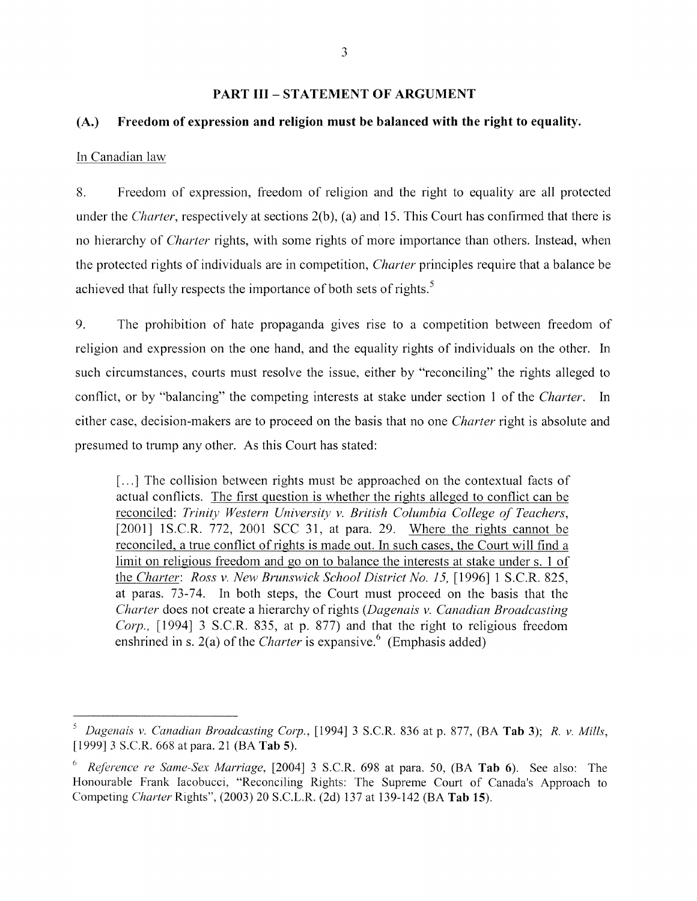#### **PART III - STATEMENT OF ARGUMENT**

#### **(A.) Freedom of expression and religion must be balanced with the right to equality.**

#### In Canadian law

8. Freedom of expression, freedom of religion and the right to equality are all protected under the *Charter*, respectively at sections 2(b), (a) and 15. This Court has confirmed that there is no hierarchy of *Charter* rights, with some rights of more importance than others. Instead, when the protected rights of individuals are in competition, *Charter* principles require that a balance be achieved that fully respects the importance of both sets of rights.<sup>5</sup>

9. The prohibition of hate propaganda gives rise to a competition between freedom of religion and expression on the one hand, and the equality rights of individuals on the other. In such circumstances, courts must resolve the issue, either by "reconciling" the rights alleged to conflict, or by "balancing" the competing interests at stake under section 1 of the *Charter.* In either case, decision-makers are to proceed on the basis that no one *Charter* right is absolute and presumed to trump any other. As this Court has stated:

[...] The collision between rights must be approached on the contextual facts of actual conflicts. The first question is whether the rights alleged to conflict can be reconciled: *Trinity Western University v. British Columbia College of Teachers,*  [2001] IS.C.R. 772, 2001 SCC 31, at para. 29. Where the rights cannot be reconciled, a true conflict of rights is made out. In such cases, the Court will find a limit on religious freedom and go on to balance the interests at stake under s. 1 of the *Charter: Ross v. New Brunswick School District No. 15*, [1996] 1 S.C.R. 825, at paras. 73-74. In both steps, the Court must proceed on the basis that the *Charter* does not create a hierarchy of rights *(Dagenais v. Canadian Broadcasting Corp.*, [1994] 3 S.C.R. 835, at p. 877) and that the right to religious freedom enshrined in s. 2(a) of the *Charter* is expansive.<sup>6</sup> (Emphasis added)

*Dagenais* v. *Canadian Broadcasting Corp.,* [1994] 3 S.c.R. 836 at p. 877, (BA **Tab** 3); *R.* v. *Mills,*  [1999] 3 S.c.R. 668 at para. 21 (BA **Tab** 5).

<sup>6</sup>*Reference re Same-Sex Marriage,* [2004] 3 S.C.R. 698 at para. 50, (BA **Tab** 6). See also: The Honourable Frank Iacobucci, "Reconciling Rights: The Supreme Court of Canada's Approach to Competing *Charter* Rights", (2003) 20 S.c.L.R. (2d) 137 at 139-142 (BA **Tab** 15).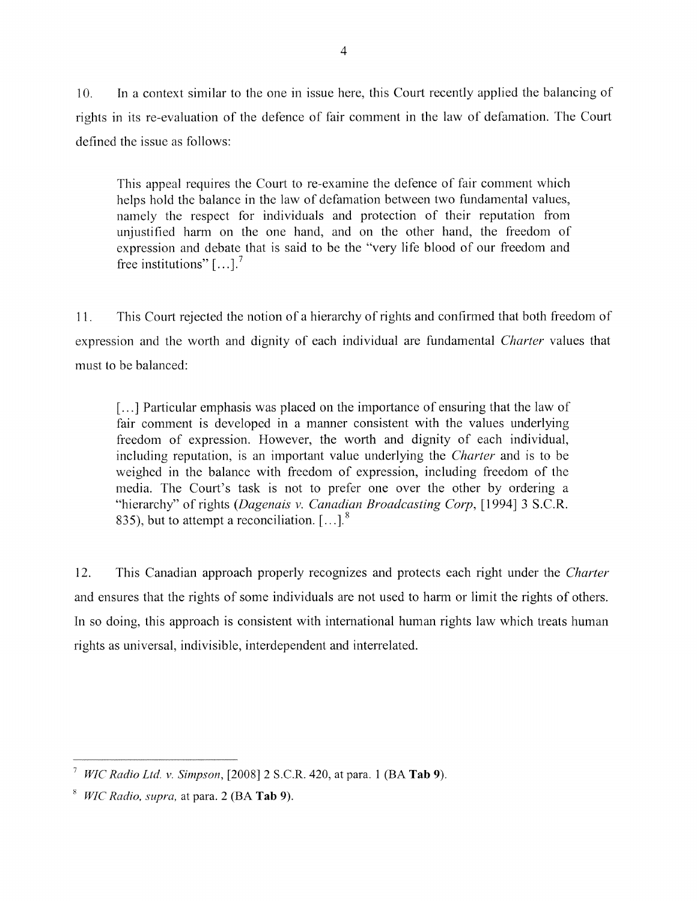10. In a context similar to the one in issue here, this Court recently applied the balancing of rights in its re-evaluation of the defence of fair comment in the law of defamation. The Court defined the issue as follows:

This appeal requires the Court to re-examine the defence of fair comment which helps hold the balance in the law of defamation between two fundamental values, namely the respect for individuals and protection of their reputation from unjustified harm on the one hand, and on the other hand, the freedom of expression and debate that is said to be the "very life blood of our freedom and free institutions"  $\left[ \ldots \right]$ .<sup>7</sup>

11. This Court rejected the notion of a hierarchy of rights and confirmed that both freedom of expression and the worth and dignity of each individual are fundamental *Charter* values that must to be balanced:

[...] Particular emphasis was placed on the importance of ensuring that the law of fair comment is developed in a manner consistent with the values underlying freedom of expression. However, the worth and dignity of each individual, including reputation, is an important value underlying the *Charter* and is to be weighed in the balance with freedom of expression, including freedom of the media. The Court's task is not to prefer one over the other by ordering a "hierarchy" of rights *(Dagenais v. Canadian Broadcasting Corp,* [1994] 3 S.C.R. 835), but to attempt a reconciliation.  $[\dots]$ <sup>8</sup>

12. This Canadian approach properly recognizes and protects each right under the *Charter*  and ensures that the rights of some individuals are not used to harm or limit the rights of others. In so doing, this approach is consistent with international human rights law which treats human rights as universal, indivisible, interdependent and interrelated.

<sup>7</sup>*WIC Radio Ltd. v. Simpson,* [2008] 2 S.C.R. 420, at para. 1 (BA **Tab** 9).

*<sup>8</sup> WIC Radio, supra,* at para. 2 (BA **Tab** 9).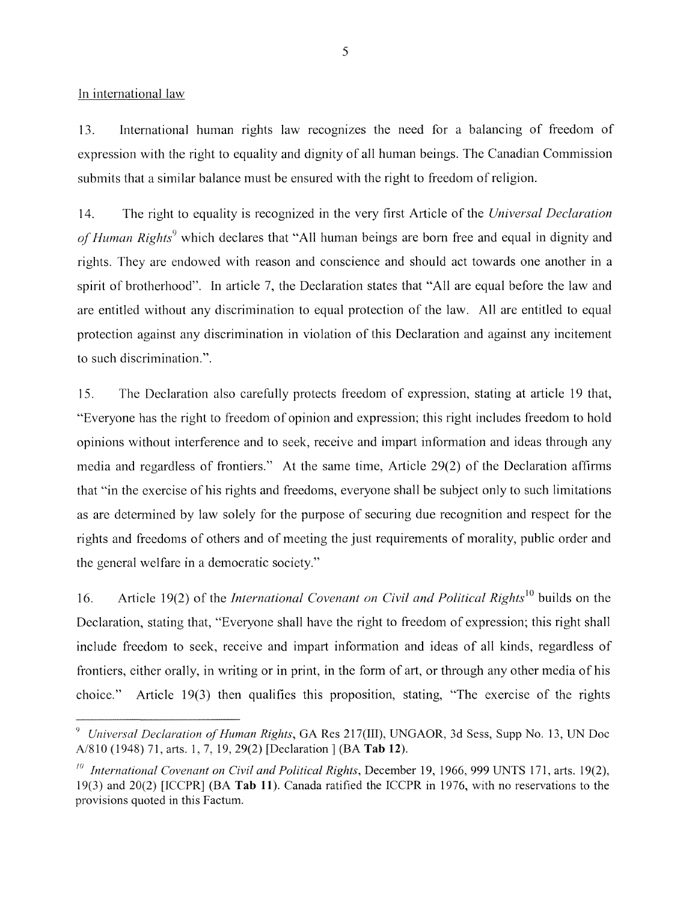In international law

13. International human rights law recogmzes the need for a balancing of freedom of expression with the right to equality and dignity of all human beings. The Canadian Commission submits that a similar balance must be ensured with the right to freedom of religion.

14. The right to equality is recognized in the very first Article of the *Universal Declaration*  of Human Rights<sup>9</sup> which declares that "All human beings are born free and equal in dignity and rights. They are endowed with reason and conscience and should act towards one another in a spirit of brotherhood". In article 7, the Declaration states that "All are equal before the law and are entitled without any discrimination to equal protection of the law. All are entitled to equal protection against any discrimination in violation of this Declaration and against any incitement to such discrimination.".

15. The Declaration also carefully protects freedom of expression, stating at article 19 that, "Everyone has the right to freedom of opinion and expression; this right includes freedom to hold opinions without interference and to seek, receive and impart information and ideas through any media and regardless of frontiers." At the same time, Article 29(2) of the Declaration affinns that "in the exercise of his rights and freedoms, everyone shall be subject only to such limitations as are determined by law solely for the purpose of securing due recognition and respect for the rights and freedoms of others and of meeting the just requirements of morality, public order and the general welfare in a democratic society."

16. Article 19(2) of the *International Covenant on Civil and Political Rights*<sup>10</sup> builds on the Declaration, stating that, "Everyone shall have the right to freedom of expression; this right shall include freedom to seek, receive and impart information and ideas of all kinds, regardless of frontiers, either orally, in writing or in print, in the form of art, or through any other media of his choice." Article 19(3) then qualifies this proposition, stating, "The exercise of the rights

<sup>9</sup>*Universal Declaration of Human Rights,* GA Res 217(III), UNGAOR, 3d Sess, Supp No. l3, UN Doc A/810 (1948) 71, arts. 1,7,19,29(2) [Declaration] (BA **Tab** 12).

<sup>10</sup>*International Covenant on Civil and Political Rights,* December 19, 1966,999 UNTS 171, arts. 19(2), 19(3) and 20(2) [ICCPR] (BA **Tab 11).** Canada ratified the ICCPR in 1976, with no reservations to the provisions quoted in this Factum.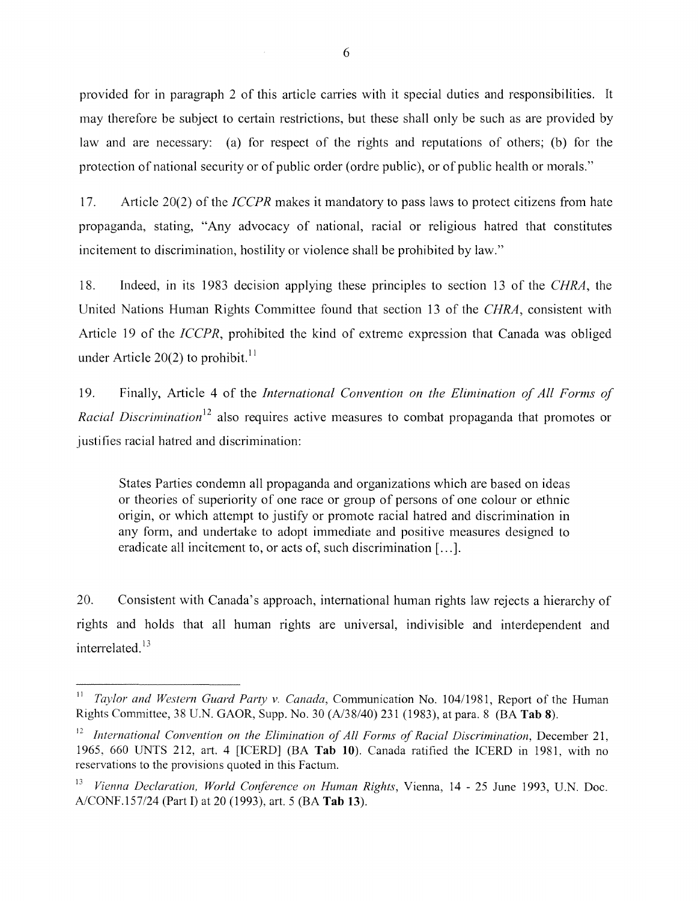provided for in paragraph 2 of this article carries with it special duties and responsibilities. It may therefore be subject to certain restrictions, but these shall only be such as are provided by law and are necessary: (a) for respect of the rights and reputations of others; (b) for the protection of national security or of public order (ordre public), or of public health or morals."

17. Article 20(2) of the *ICCPR* makes it mandatory to pass laws to protect citizens from hate propaganda, stating, "Any advocacy of national, racial or religious hatred that constitutes incitement to discrimination, hostility or violence shall be prohibited by law."

18. Indeed, in its 1983 decision applying these principles to section 13 of the *CHRA,* the United Nations Human Rights Committee found that section 13 of the *CHRA,* consistent with Article 19 of the *ICCPR,* prohibited the kind of extreme expression that Canada was obliged under Article 20(2) to prohibit.<sup>11</sup>

19. Finally, Article 4 of the *International Convention on the Elimination of All Forms of Racial Discrimination*<sup>12</sup> also requires active measures to combat propaganda that promotes or justifies racial hatred and discrimination:

States Parties condemn all propaganda and organizations which are based on ideas or theories of superiority of one race or group of persons of one colour or ethnic origin, or which attempt to justify or promote racial hatred and discrimination in any form, and undertake to adopt immediate and positive measures designed to eradicate all incitement to, or acts of, such discrimination [...].

20. Consistent with Canada's approach, international human rights law rejects a hierarchy of rights and holds that all human rights are universal, indivisible and interdependent and interrelated.<sup>13</sup>

<sup>&</sup>lt;sup>11</sup> *Taylor and Western Guard Party v. Canada, Communication No. 104/1981, Report of the Human* Rights Committee, 38 U.N. GAOR, Supp. No. 30 *(Al38/40)* 231 (1983), at para. 8 (BA **Tab** 8).

<sup>&</sup>lt;sup>12</sup> International Convention on the Elimination of All Forms of Racial Discrimination, December 21, 1965, 660 UNTS 212, art. 4 [ICERD] (BA Tab 10). Canada ratified the ICERD in 1981, with no reservations to the provisions quoted in this Factum.

<sup>&</sup>lt;sup>13</sup> Vienna Declaration, World Conference on Human Rights, Vienna, 14 - 25 June 1993, U.N. Doc. *AlCONF.157124* (Part I) at 20 (1993), art. 5 (BA **Tab** 13).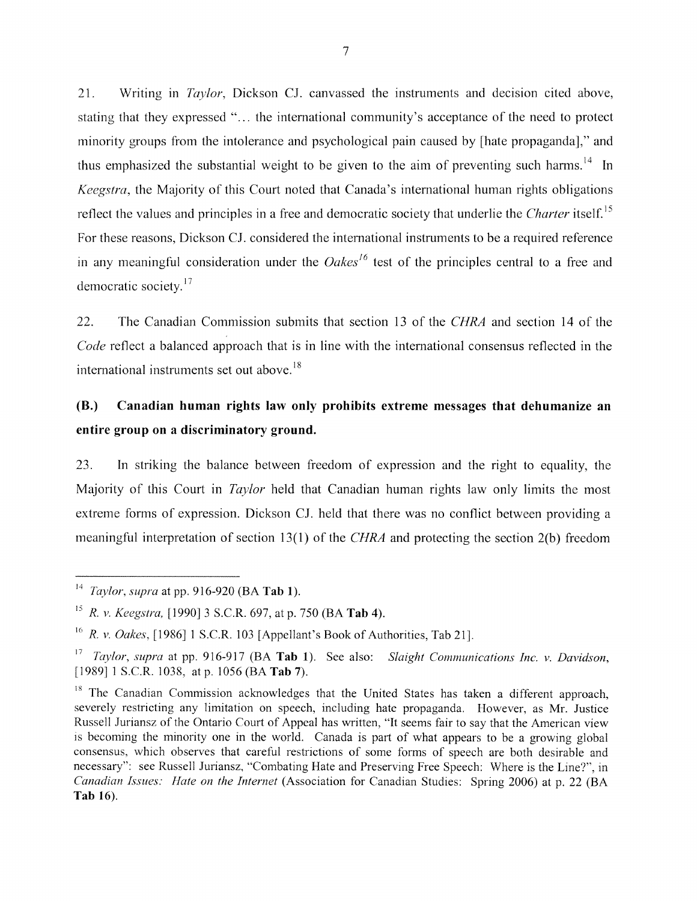21. Writing in *Taylor,* Dickson CJ. canvassed the instruments and decision cited above, stating that they expressed "... the international community's acceptance of the need to protect minority groups from the intolerance and psychological pain caused by [hate propaganda]," and thus emphasized the substantial weight to be given to the aim of preventing such harms.<sup>14</sup> In *Keegstra,* the Majority of this Court noted that Canada's international human rights obligations reflect the values and principles in a free and democratic society that underlie the *Charter* itself.15 For these reasons, Dickson Cl considered the international instruments to be a required reference in any meaningful consideration under the *Oakes*<sup>16</sup> test of the principles central to a free and For these reasons, D<sub>1</sub>.<br>in any meaningful condemocratic society.<sup>17</sup>

22. The Canadian Commission submits that section 13 of the *CHRA* and section 14 of the *Code* reflect a balanced approach that is in line with the international consensus reflected in the international instruments set out above.<sup>18</sup>

# **(8.) Canadian human rights law only prohibits extreme messages that dehumanize an entire group on a discriminatory ground.**

23. In striking the balance between freedom of expression and the right to equality, the Majority of this Court in *Taylor* held that Canadian human rights law only limits the most extreme forms of expression. Dickson CJ. held that there was no conflict between providing a meaningful interpretation of section 13(1) of the *CHRA* and protecting the section 2(b) freedom

<sup>14</sup>*Taylor, supra* at pp. 916-920 (BA **Tab** 1).

<sup>15</sup>*R.* v. *Keegstra.* [1990] 3 S.C.R. 697, at p. 750 (BA **Tab** 4).

<sup>&</sup>lt;sup>16</sup> R. v. *Oakes*, [1986] 1 S.C.R. 103 [Appellant's Book of Authorities, Tab 21].

<sup>17</sup>*Taylor, supra* at pp. 916-917 (BA **Tab** 1). See also: *Slaight Communications Inc.* v. *Davidson,*  [1989] 1 S.C.R. 1038, at p. 1056 (BA **Tab** 7).

 $18$  The Canadian Commission acknowledges that the United States has taken a different approach, severely restricting any limitation on speech, including hate propaganda. However, as Mr. Justice Russell Juriansz of the Ontario Court of Appeal has written, "It seems fair to say that the American view is becoming the minority one in the world. Canada is part of what appears to be a growing global consensus, which observes that careful restrictions of some forms of speech are both desirable and necessary": see Russell Juriansz, "Combating Hate and Preserving Free Speech: Where is the Line?", in *Canadian hs'ues: Hate on the Internet* (Association for Canadian Studies: Spring 2006) at p. 22 (BA **Tab** 16).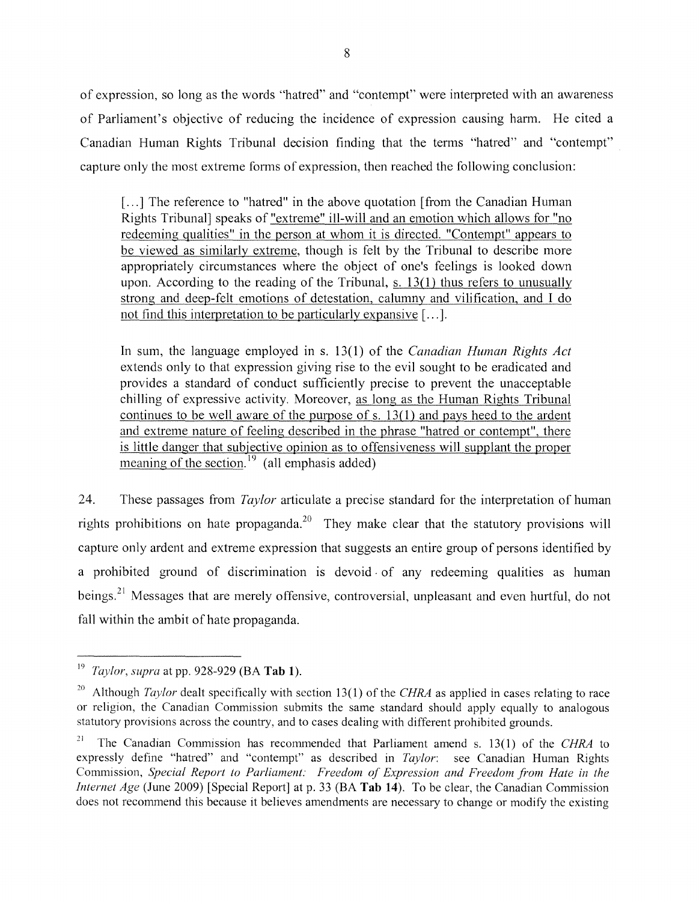of expression, so long as the words "hatred" and "contempt" were interpreted with an awareness of Parliament's objective of reducing the incidence of expression causing harm. He cited a Canadian Human Rights Tribunal decision finding that the terms "hatred" and "contempt" capture only the most extreme forms of expression, then reached the following conclusion:

[...] The reference to "hatred" in the above quotation [from the Canadian Human] Rights Tribunal] speaks of "extreme" ill-will and an emotion which allows for "no redeeming qualities" in the person at whom it is directed. "Contempt" appears to be viewed as similarly extreme, though is felt by the Tribunal to describe more appropriately circumstances where the object of one's feelings is looked down upon. According to the reading of the Tribunal, s. 13(1) thus refers to unusually strong and deep-felt emotions of detestation, calumny and vilification, and I do not find this interpretation to be particularly expansive [ ... ].

In sum, the language employed in s. 13(1) of the *Canadian Human Rights Act*  extends only to that expression giving rise to the evil sought to be eradicated and provides a standard of conduct sufficiently precise to prevent the unacceptable chilling of expressive activity. Moreover, as long as the Human Rights Tribunal continues to be well aware of the purpose of s. 13(1) and pays heed to the ardent and extreme nature of feeling described in the phrase "hatred or contempt", there is little danger that subjective opinion as to offensiveness will supplant the proper meaning of the section.<sup>19</sup> (all emphasis added)

24. These passages from *Taylor* articulate a precise standard for the interpretation of human rights prohibitions on hate propaganda.<sup>20</sup> They make clear that the statutory provisions will capture only ardent and extreme expression that suggests an entire group of persons identified by a prohibited ground of discrimination is devoid· of any redeeming qualities as human beings.<sup>21</sup> Messages that are merely offensive, controversial, unpleasant and even hurtful, do not fall within the ambit of hate propaganda.

<sup>19</sup>*Taylor, supra* at pp. 928-929 (BA **Tab** 1).

<sup>20</sup> Although *Taylor* dealt specifically with section 13(1) of the *CHRA* as applied in cases relating to race or religion, the Canadian Commission submits the same standard should apply equally to analogous statutory provisions across the country, and to cases dealing with different prohibited grounds.

<sup>&</sup>lt;sup>21</sup> The Canadian Commission has recommended that Parliament amend s. 13(1) of the *CHRA* to expressly define "hatred" and "contempt" as described in *Taylor:* see Canadian Human Rights Commission, *Special Report to Parliament: Freedom of Expression and Freedom from Hate in the Internet Age* (June 2009) [Special Report] at p. 33 (BA **Tab 14).** To be clear, the Canadian Commission does not recommend this because it believes amendments are necessary to change or modify the existing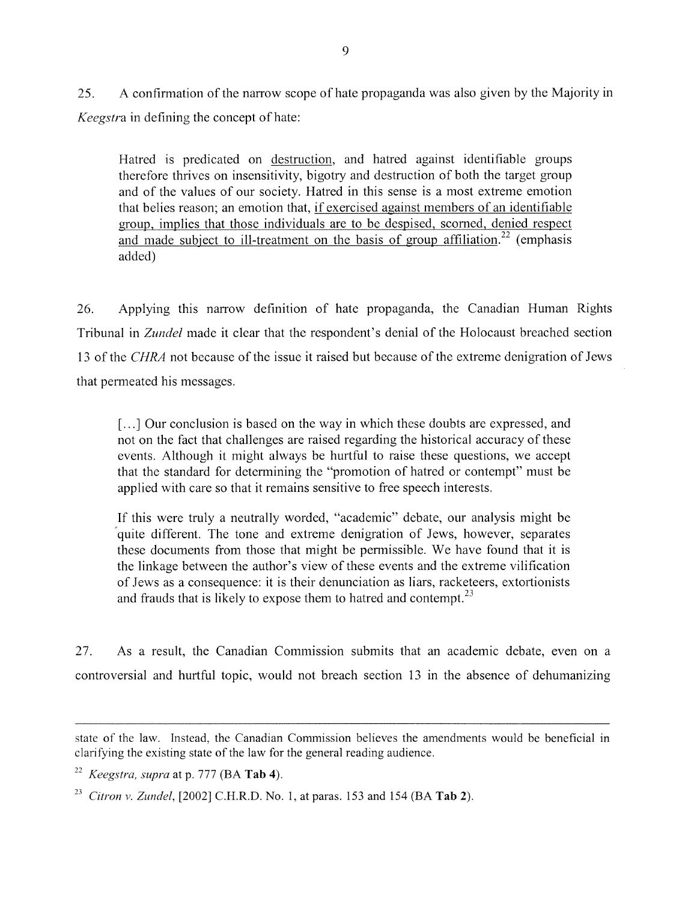25. A confirmation of the narrow scope of hate propaganda was also given by the Majority in *Keegstra* in defining the concept of hate:

Hatred is predicated on destruction, and hatred against identifiable groups therefore thrives on insensitivity, bigotry and destruction of both the target group and of the values of our society. Hatred in this sense is a most extreme emotion that belies reason; an emotion that, if exercised against members of an identifiable group, implies that those individuals are to be despised, scorned, denied respect and made subject to ill-treatment on the basis of group affiliation.<sup>22</sup> (emphasis added)

26. Applying this narrow definition of hate propaganda, the Canadian Human Rights Tribunal in *Zundel* made it clear that the respondent's denial of the Holocaust breached section 13 of the *CHRA* not because of the issue it raised but because of the extreme denigration of Jews that permeated his messages.

[...] Our conclusion is based on the way in which these doubts are expressed, and not on the fact that challenges are raised regarding the historical accuracy of these events. Although it might always be hurtful to raise these questions, we accept that the standard for determining the "promotion of hatred or contempt" must be applied with care so that it remains sensitive to free speech interests.

If this were truly a neutrally worded, "academic" debate, our analysis might be quite different. The tone and extreme denigration of Jews, however, separates these documents from those that might be permissible. We have found that it is the linkage between the author's view of these events and the extreme vilification of Jews as a consequence: it is their denunciation as liars, racketeers, extortionists and frauds that is likely to expose them to hatred and contempt.<sup>23</sup>

27. As a result, the Canadian Commission submits that an academic debate, even on a controversial and hurtful topic, would not breach section 13 in the absence of dehumanizing

state of the law. Instead, the Canadian Commission believes the amendments would be beneficial in clarifying thc existing statc of the law for the general reading audience.

 $^{22}$  *Keegstra, supra* at p. 777 (BA **Tab 4)**.

*<sup>23</sup> Citron* v. *Zundel,* [2002] C.R.R.D. No.1, at paras. 153 and 154 (BA **Tab** 2).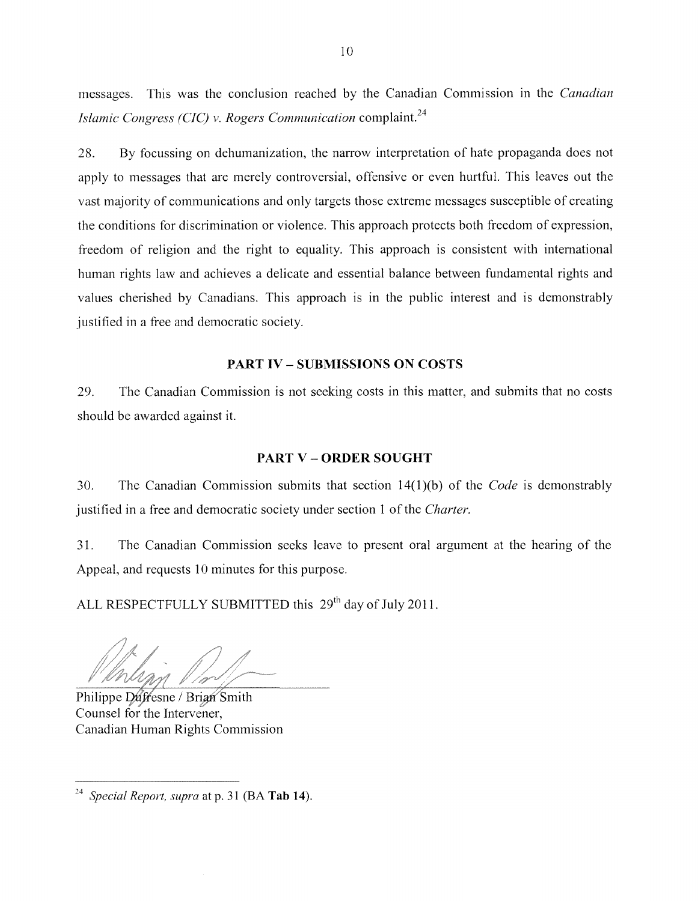messages. This was the conclusion reached by the Canadian Commission in the *Canadian Islamic Congress (CIC)* v. *Rogers Communication* complaint. <sup>24</sup>

28. By focussing on dehumanization, the narrow interpretation of hate propaganda does not apply to messages that are merely controversial, offensive or even hurtful. This leaves out the vast majority of communications and only targets those extreme messages susceptible of creating the conditions for discrimination or violence. This approach protects both freedom of expression, freedom of religion and the right to equality. This approach is consistent with international human rights law and achieves a delicate and essential balance between fundamental rights and values cherished by Canadians. This approach is in the public interest and is demonstrably justified in a free and democratic society.

## **PART IV - SUBMISSIONS ON COSTS**

29. The Canadian Commission is not seeking costs in this matter, and submits that no costs should be awarded against **it.** 

#### **PART V - ORDER SOUGHT**

30. The Canadian Commission submits that section 14(1 )(b) of the *Code* is demonstrably justified in a free and democratic society under section 1 of the *Charter.* 

31. The Canadian Commission seeks leave to present oral argument at the hearing of the Appeal, and requests 10 minutes for this purpose.

ALL RESPECTFULLY SUBMITTED this 29<sup>th</sup> day of July 2011.

Philippe Duffesne / Brian Smith Counsel for the Intervener, Canadian Human Rights Commission

*<sup>24</sup> Special Report. supra* at p. 31 (BA **Tab 14).**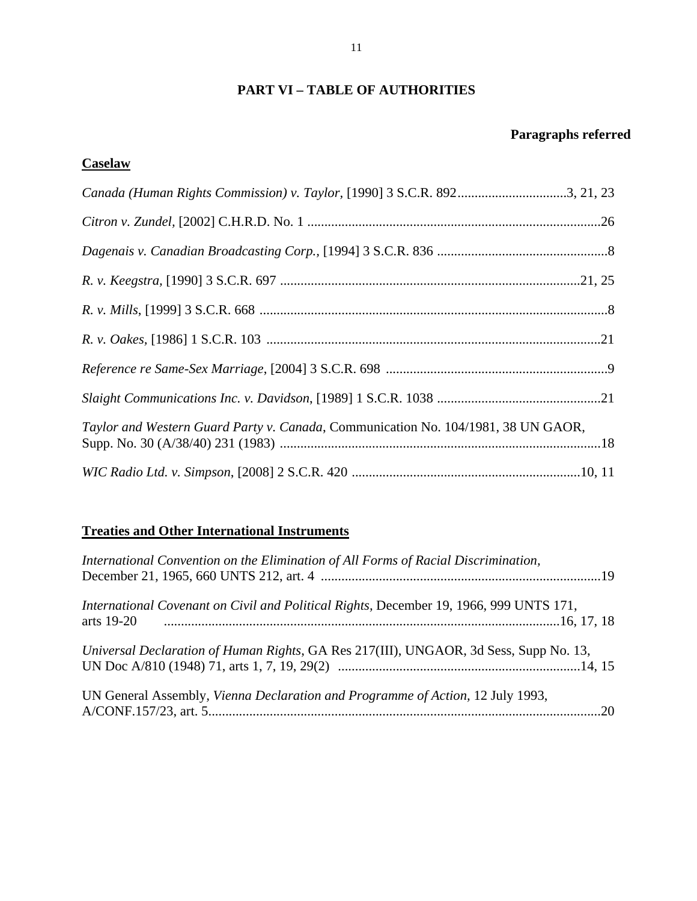# **PART VI – TABLE OF AUTHORITIES**

# **Paragraphs referred**

# **Caselaw**

| Canada (Human Rights Commission) v. Taylor, [1990] 3 S.C.R. 8923, 21, 23          |  |
|-----------------------------------------------------------------------------------|--|
|                                                                                   |  |
|                                                                                   |  |
|                                                                                   |  |
|                                                                                   |  |
|                                                                                   |  |
|                                                                                   |  |
|                                                                                   |  |
| Taylor and Western Guard Party v. Canada, Communication No. 104/1981, 38 UN GAOR, |  |
|                                                                                   |  |

# **Treaties and Other International Instruments**

| International Convention on the Elimination of All Forms of Racial Discrimination,                   |
|------------------------------------------------------------------------------------------------------|
| International Covenant on Civil and Political Rights, December 19, 1966, 999 UNTS 171,<br>arts 19-20 |
| Universal Declaration of Human Rights, GA Res 217(III), UNGAOR, 3d Sess, Supp No. 13,                |
| UN General Assembly, Vienna Declaration and Programme of Action, 12 July 1993,                       |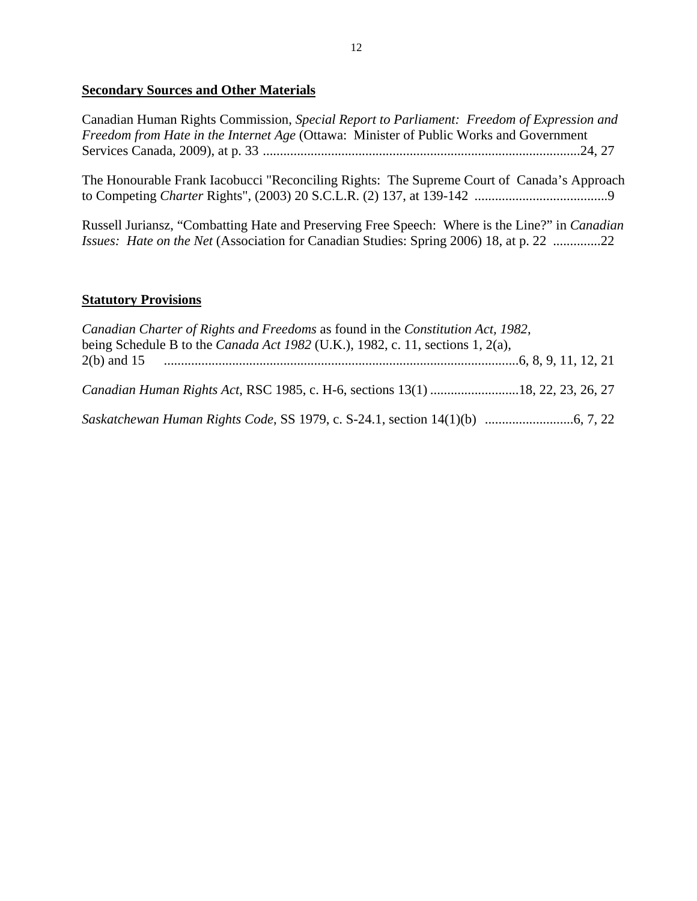# **Secondary Sources and Other Materials**

Canadian Human Rights Commission, *Special Report to Parliament: Freedom of Expression and Freedom from Hate in the Internet Age* (Ottawa: Minister of Public Works and Government Services Canada, 2009), at p. 33 .............................................................................................24, 27

The Honourable Frank Iacobucci "Reconciling Rights: The Supreme Court of Canada's Approach to Competing *Charter* Rights", (2003) 20 S.C.L.R. (2) 137, at 139-142 .......................................9

Russell Juriansz, "Combatting Hate and Preserving Free Speech: Where is the Line?" in *Canadian Issues: Hate on the Net* (Association for Canadian Studies: Spring 2006) 18, at p. 22 ..............22

## **Statutory Provisions**

| Canadian Charter of Rights and Freedoms as found in the Constitution Act, 1982,       |  |
|---------------------------------------------------------------------------------------|--|
| being Schedule B to the <i>Canada Act 1982</i> (U.K.), 1982, c. 11, sections 1, 2(a), |  |
|                                                                                       |  |
|                                                                                       |  |
| Canadian Human Rights Act, RSC 1985, c. H-6, sections 13(1) 18, 22, 23, 26, 27        |  |
|                                                                                       |  |
|                                                                                       |  |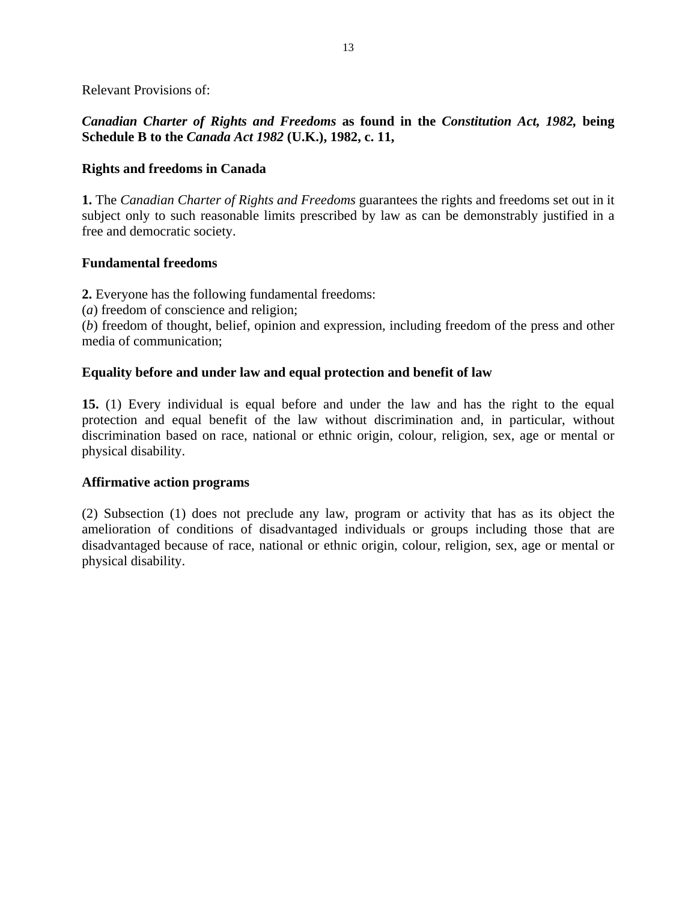Relevant Provisions of:

# *Canadian Charter of Rights and Freedoms* **as found in the** *Constitution Act, 1982,* **being Schedule B to the** *Canada Act 1982* **(U.K.), 1982, c. 11,**

## **Rights and freedoms in Canada**

**1.** The *Canadian Charter of Rights and Freedoms* guarantees the rights and freedoms set out in it subject only to such reasonable limits prescribed by law as can be demonstrably justified in a free and democratic society.

## **Fundamental freedoms**

**2.** Everyone has the following fundamental freedoms:

(*a*) freedom of conscience and religion;

(*b*) freedom of thought, belief, opinion and expression, including freedom of the press and other media of communication;

## **Equality before and under law and equal protection and benefit of law**

**15.** (1) Every individual is equal before and under the law and has the right to the equal protection and equal benefit of the law without discrimination and, in particular, without discrimination based on race, national or ethnic origin, colour, religion, sex, age or mental or physical disability.

## **Affirmative action programs**

(2) Subsection (1) does not preclude any law, program or activity that has as its object the amelioration of conditions of disadvantaged individuals or groups including those that are disadvantaged because of race, national or ethnic origin, colour, religion, sex, age or mental or physical disability.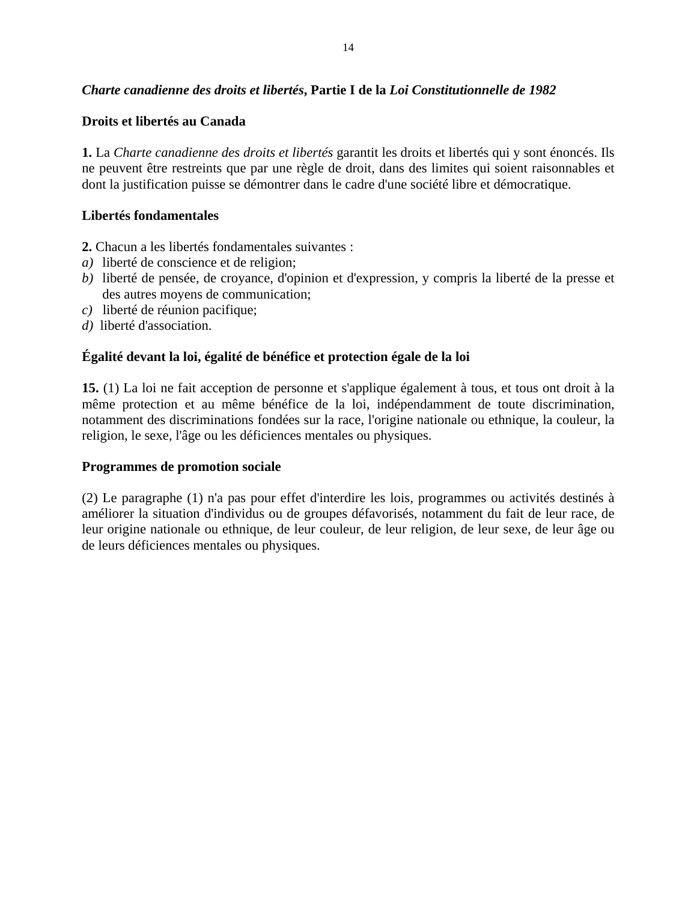# *Charte canadienne des droits et libertés***, Partie I de la** *Loi Constitutionnelle de 1982*

## **Droits et libertés au Canada**

**1.** La *Charte canadienne des droits et libertés* garantit les droits et libertés qui y sont énoncés. Ils ne peuvent être restreints que par une règle de droit, dans des limites qui soient raisonnables et dont la justification puisse se démontrer dans le cadre d'une société libre et démocratique.

## **Libertés fondamentales**

**2.** Chacun a les libertés fondamentales suivantes :

- *a)* liberté de conscience et de religion;
- *b)* liberté de pensée, de croyance, d'opinion et d'expression, y compris la liberté de la presse et des autres moyens de communication;
- *c)* liberté de réunion pacifique;
- *d)* liberté d'association.

# **Égalité devant la loi, égalité de bénéfice et protection égale de la loi**

**15.** (1) La loi ne fait acception de personne et s'applique également à tous, et tous ont droit à la même protection et au même bénéfice de la loi, indépendamment de toute discrimination, notamment des discriminations fondées sur la race, l'origine nationale ou ethnique, la couleur, la religion, le sexe, l'âge ou les déficiences mentales ou physiques.

## **Programmes de promotion sociale**

(2) Le paragraphe (1) n'a pas pour effet d'interdire les lois, programmes ou activités destinés à améliorer la situation d'individus ou de groupes défavorisés, notamment du fait de leur race, de leur origine nationale ou ethnique, de leur couleur, de leur religion, de leur sexe, de leur âge ou de leurs déficiences mentales ou physiques.